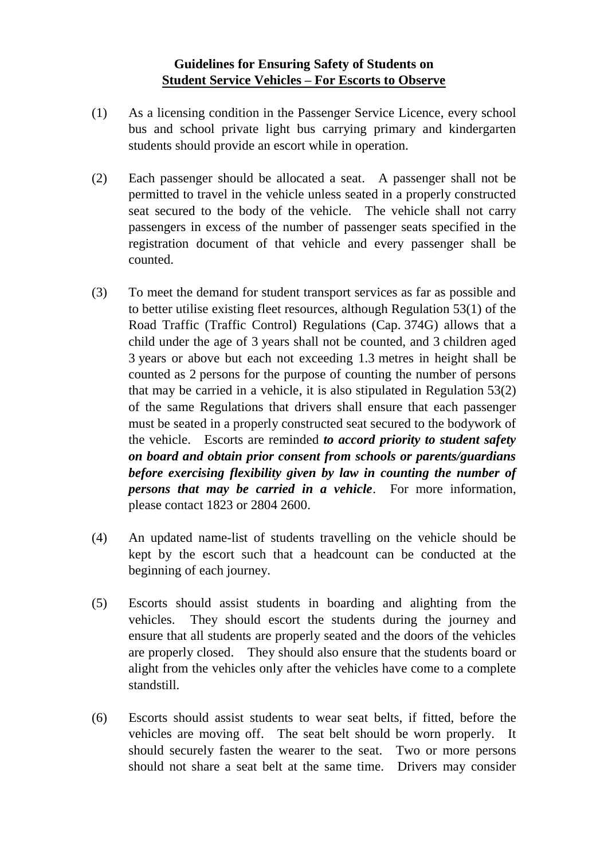## **Guidelines for Ensuring Safety of Students on Student Service Vehicles – For Escorts to Observe**

- (1) As a licensing condition in the Passenger Service Licence, every school bus and school private light bus carrying primary and kindergarten students should provide an escort while in operation.
- (2) Each passenger should be allocated a seat. A passenger shall not be permitted to travel in the vehicle unless seated in a properly constructed seat secured to the body of the vehicle. The vehicle shall not carry passengers in excess of the number of passenger seats specified in the registration document of that vehicle and every passenger shall be counted.
- (3) To meet the demand for student transport services as far as possible and to better utilise existing fleet resources, although Regulation 53(1) of the Road Traffic (Traffic Control) Regulations (Cap. 374G) allows that a child under the age of 3 years shall not be counted, and 3 children aged 3 years or above but each not exceeding 1.3 metres in height shall be counted as 2 persons for the purpose of counting the number of persons that may be carried in a vehicle, it is also stipulated in Regulation 53(2) of the same Regulations that drivers shall ensure that each passenger must be seated in a properly constructed seat secured to the bodywork of the vehicle. Escorts are reminded *to accord priority to student safety on board and obtain prior consent from schools or parents/guardians before exercising flexibility given by law in counting the number of persons that may be carried in a vehicle*. For more information, please contact 1823 or 2804 2600.
- (4) An updated name-list of students travelling on the vehicle should be kept by the escort such that a headcount can be conducted at the beginning of each journey.
- (5) Escorts should assist students in boarding and alighting from the vehicles. They should escort the students during the journey and ensure that all students are properly seated and the doors of the vehicles are properly closed. They should also ensure that the students board or alight from the vehicles only after the vehicles have come to a complete standstill.
- (6) Escorts should assist students to wear seat belts, if fitted, before the vehicles are moving off. The seat belt should be worn properly. It should securely fasten the wearer to the seat. Two or more persons should not share a seat belt at the same time. Drivers may consider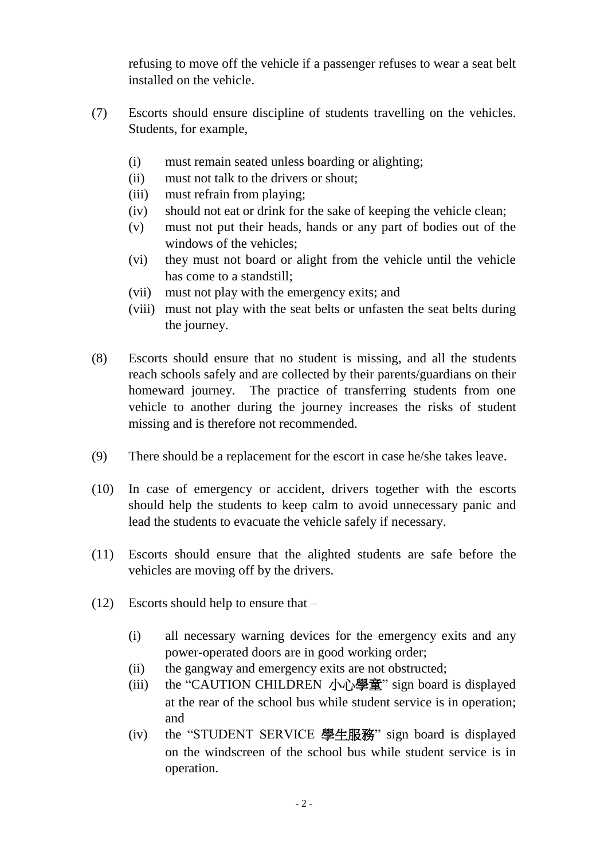refusing to move off the vehicle if a passenger refuses to wear a seat belt installed on the vehicle.

- (7) Escorts should ensure discipline of students travelling on the vehicles. Students, for example,
	- (i) must remain seated unless boarding or alighting;
	- (ii) must not talk to the drivers or shout;
	- (iii) must refrain from playing;
	- (iv) should not eat or drink for the sake of keeping the vehicle clean;
	- (v) must not put their heads, hands or any part of bodies out of the windows of the vehicles;
	- (vi) they must not board or alight from the vehicle until the vehicle has come to a standstill;
	- (vii) must not play with the emergency exits; and
	- (viii) must not play with the seat belts or unfasten the seat belts during the journey.
- (8) Escorts should ensure that no student is missing, and all the students reach schools safely and are collected by their parents/guardians on their homeward journey. The practice of transferring students from one vehicle to another during the journey increases the risks of student missing and is therefore not recommended.
- (9) There should be a replacement for the escort in case he/she takes leave.
- (10) In case of emergency or accident, drivers together with the escorts should help the students to keep calm to avoid unnecessary panic and lead the students to evacuate the vehicle safely if necessary.
- (11) Escorts should ensure that the alighted students are safe before the vehicles are moving off by the drivers.
- (12) Escorts should help to ensure that
	- (i) all necessary warning devices for the emergency exits and any power-operated doors are in good working order;
	- (ii) the gangway and emergency exits are not obstructed;
	- (iii) the "CAUTION CHILDREN 小心學童" sign board is displayed at the rear of the school bus while student service is in operation; and
	- (iv) the "STUDENT SERVICE 學生服務" sign board is displayed on the windscreen of the school bus while student service is in operation.